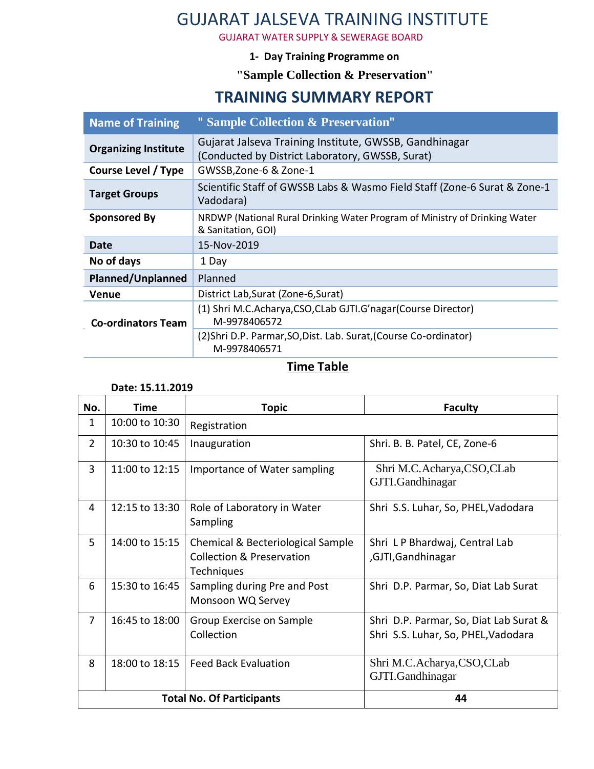# GUJARAT JALSEVA TRAINING INSTITUTE

GUJARAT WATER SUPPLY & SEWERAGE BOARD

#### **1- Day Training Programme on**

**"Sample Collection & Preservation"**

### **TRAINING SUMMARY REPORT**

| <b>Name of Training</b>     | " Sample Collection & Preservation"                                                                        |  |  |
|-----------------------------|------------------------------------------------------------------------------------------------------------|--|--|
| <b>Organizing Institute</b> | Gujarat Jalseva Training Institute, GWSSB, Gandhinagar<br>(Conducted by District Laboratory, GWSSB, Surat) |  |  |
| <b>Course Level / Type</b>  | GWSSB, Zone-6 & Zone-1                                                                                     |  |  |
| <b>Target Groups</b>        | Scientific Staff of GWSSB Labs & Wasmo Field Staff (Zone-6 Surat & Zone-1<br>Vadodara)                     |  |  |
| <b>Sponsored By</b>         | NRDWP (National Rural Drinking Water Program of Ministry of Drinking Water<br>& Sanitation, GOI)           |  |  |
| Date                        | 15-Nov-2019                                                                                                |  |  |
| No of days                  | 1 Day                                                                                                      |  |  |
| <b>Planned/Unplanned</b>    | Planned                                                                                                    |  |  |
| Venue                       | District Lab, Surat (Zone-6, Surat)                                                                        |  |  |
| <b>Co-ordinators Team</b>   | (1) Shri M.C.Acharya,CSO,CLab GJTI.G'nagar(Course Director)<br>M-9978406572                                |  |  |
|                             | (2) Shri D.P. Parmar, SO, Dist. Lab. Surat, (Course Co-ordinator)<br>M-9978406571                          |  |  |
|                             |                                                                                                            |  |  |

#### **Time Table**

#### **Date: 15.11.2019**

| No.                              | Time           | <b>Topic</b>                                                                                   | <b>Faculty</b>                                                                |
|----------------------------------|----------------|------------------------------------------------------------------------------------------------|-------------------------------------------------------------------------------|
| 1                                | 10:00 to 10:30 | Registration                                                                                   |                                                                               |
| $\overline{2}$                   | 10:30 to 10:45 | Inauguration                                                                                   | Shri. B. B. Patel, CE, Zone-6                                                 |
| 3                                | 11:00 to 12:15 | Importance of Water sampling                                                                   | Shri M.C.Acharya,CSO,CLab<br>GJTI.Gandhinagar                                 |
| 4                                | 12:15 to 13:30 | Role of Laboratory in Water<br>Sampling                                                        | Shri S.S. Luhar, So, PHEL, Vadodara                                           |
| 5                                | 14:00 to 15:15 | Chemical & Becteriological Sample<br><b>Collection &amp; Preservation</b><br><b>Techniques</b> | Shri L P Bhardwaj, Central Lab<br>,GJTI,Gandhinagar                           |
| 6                                | 15:30 to 16:45 | Sampling during Pre and Post<br>Monsoon WQ Servey                                              | Shri D.P. Parmar, So, Diat Lab Surat                                          |
| $\overline{7}$                   | 16:45 to 18:00 | Group Exercise on Sample<br>Collection                                                         | Shri D.P. Parmar, So, Diat Lab Surat &<br>Shri S.S. Luhar, So, PHEL, Vadodara |
| 8                                | 18:00 to 18:15 | <b>Feed Back Evaluation</b>                                                                    | Shri M.C.Acharya,CSO,CLab<br>GJTI.Gandhinagar                                 |
| <b>Total No. Of Participants</b> |                |                                                                                                | 44                                                                            |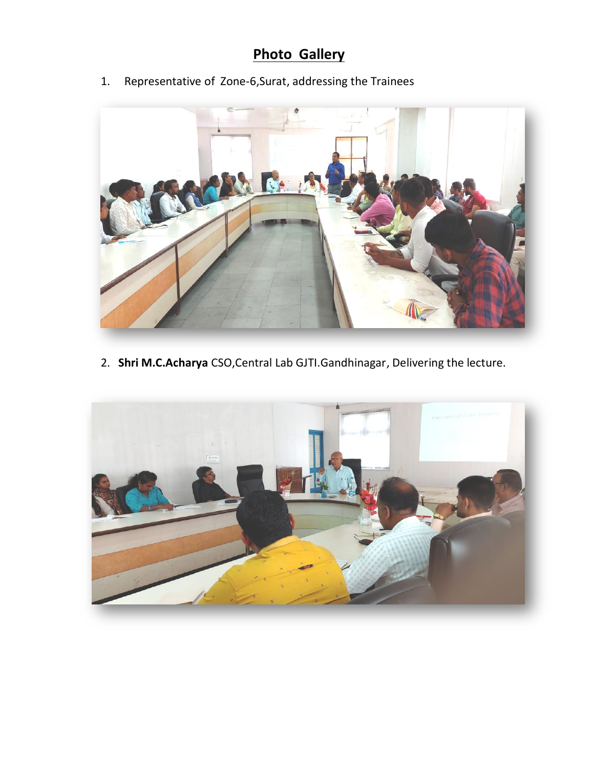## **Photo Gallery**

1. Representative of Zone-6,Surat, addressing the Trainees



2. **Shri M.C.Acharya** CSO,Central Lab GJTI.Gandhinagar, Delivering the lecture.

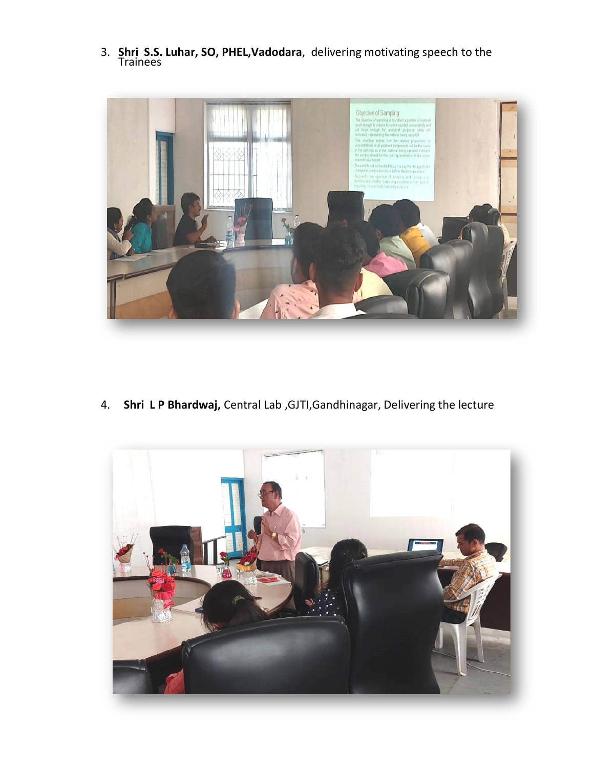3. **Shri S.S. Luhar, SO, PHEL,Vadodara**, delivering motivating speech to the Trainees



4. **Shri L P Bhardwaj,** Central Lab ,GJTI,Gandhinagar, Delivering the lecture

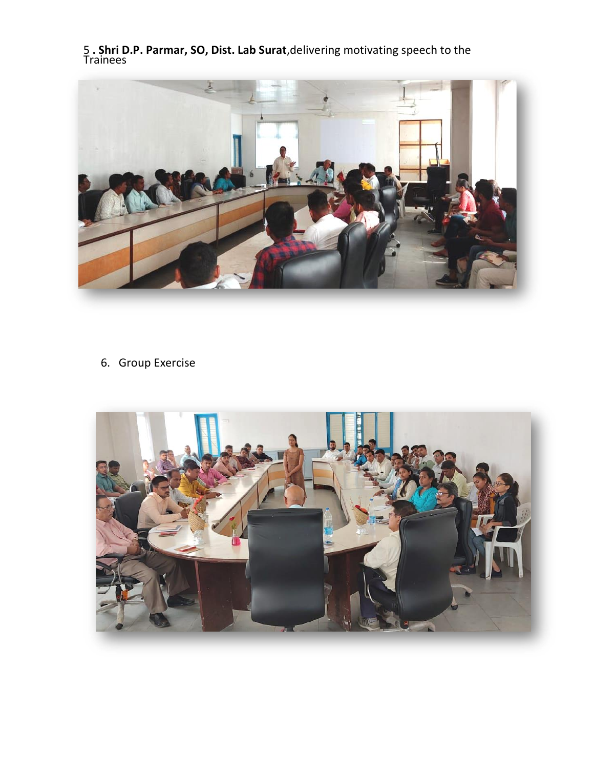5 **. Shri D.P. Parmar, SO, Dist. Lab Surat**,delivering motivating speech to the Trainees



6. Group Exercise